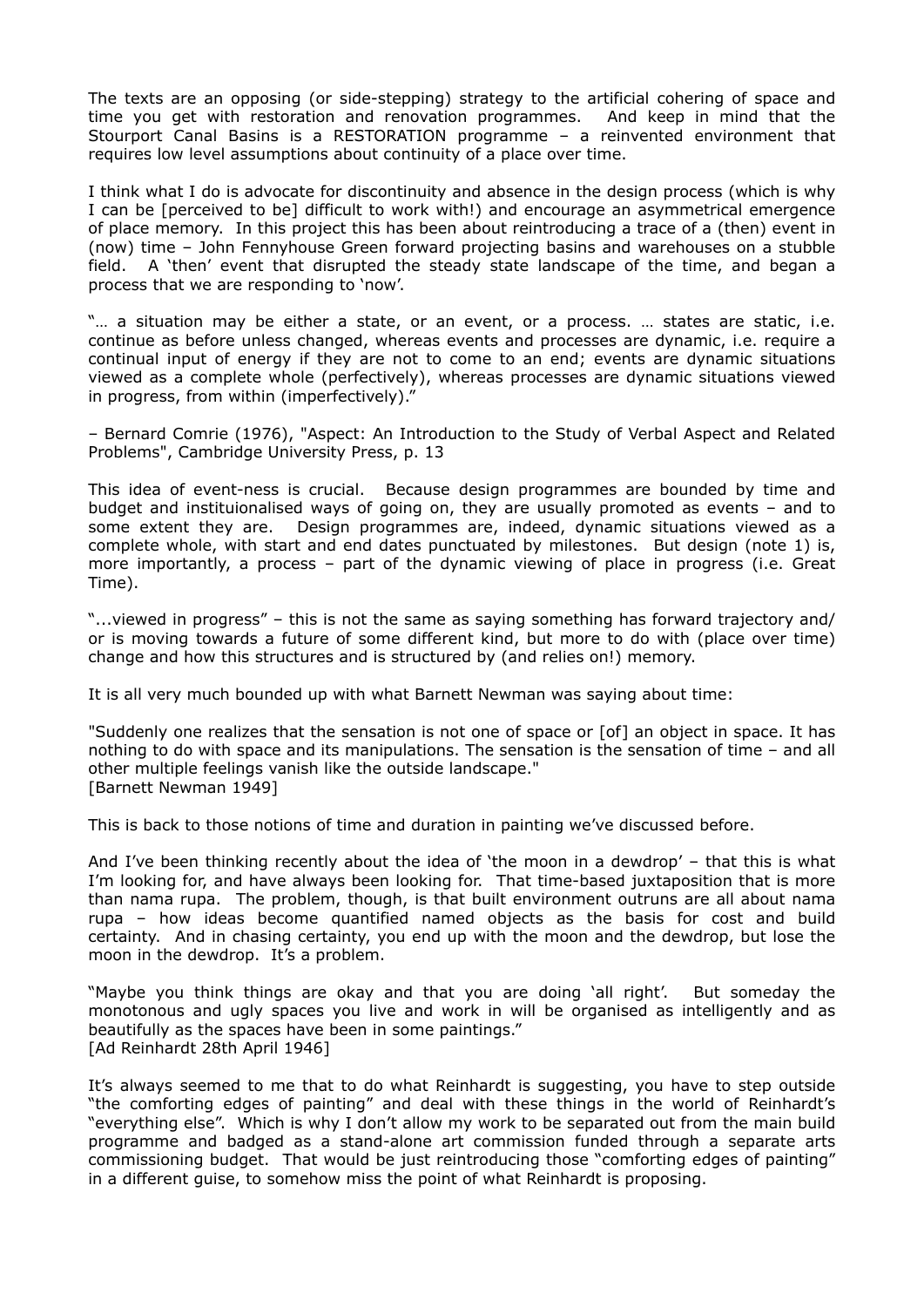The texts are an opposing (or side-stepping) strategy to the artificial cohering of space and time you get with restoration and renovation programmes. And keep in mind that the Stourport Canal Basins is a RESTORATION programme – a reinvented environment that requires low level assumptions about continuity of a place over time.

I think what I do is advocate for discontinuity and absence in the design process (which is why I can be [perceived to be] difficult to work with!) and encourage an asymmetrical emergence of place memory. In this project this has been about reintroducing a trace of a (then) event in (now) time – John Fennyhouse Green forward projecting basins and warehouses on a stubble field. A 'then' event that disrupted the steady state landscape of the time, and began a process that we are responding to 'now'.

"... a situation may be either a state, or an event, or a process. ... states are static, i.e. continue as before unless changed, whereas events and processes are dynamic, i.e. require a continual input of energy if they are not to come to an end; events are dynamic situations viewed as a complete whole (perfectively), whereas processes are dynamic situations viewed in progress, from within (imperfectively)."

– Bernard Comrie (1976), "Aspect: An Introduction to the Study of Verbal Aspect and Related Problems", Cambridge University Press, p. 13

This idea of event-ness is crucial. Because design programmes are bounded by time and budget and instituionalised ways of going on, they are usually promoted as events – and to some extent they are. Design programmes are, indeed, dynamic situations viewed as a complete whole, with start and end dates punctuated by milestones. But design (note 1) is, more importantly, a process – part of the dynamic viewing of place in progress (i.e. Great Time).

"...viewed in progress" – this is not the same as saying something has forward trajectory and/ or is moving towards a future of some different kind, but more to do with (place over time) change and how this structures and is structured by (and relies on!) memory.

It is all very much bounded up with what Barnett Newman was saying about time:

"Suddenly one realizes that the sensation is not one of space or [of] an object in space. It has nothing to do with space and its manipulations. The sensation is the sensation of time – and all other multiple feelings vanish like the outside landscape." [Barnett Newman 1949]

This is back to those notions of time and duration in painting we've discussed before.

And I've been thinking recently about the idea of 'the moon in a dewdrop' – that this is what I'm looking for, and have always been looking for. That time-based juxtaposition that is more than nama rupa. The problem, though, is that built environment outruns are all about nama rupa – how ideas become quantified named objects as the basis for cost and build certainty. And in chasing certainty, you end up with the moon and the dewdrop, but lose the moon in the dewdrop. It's a problem.

"Maybe you think things are okay and that you are doing 'all right'. But someday the monotonous and ugly spaces you live and work in will be organised as intelligently and as beautifully as the spaces have been in some paintings." [Ad Reinhardt 28th April 1946]

It's always seemed to me that to do what Reinhardt is suggesting, you have to step outside "the comforting edges of painting" and deal with these things in the world of Reinhardt's "everything else". Which is why I don't allow my work to be separated out from the main build programme and badged as a stand-alone art commission funded through a separate arts commissioning budget. That would be just reintroducing those "comforting edges of painting" in a different guise, to somehow miss the point of what Reinhardt is proposing.